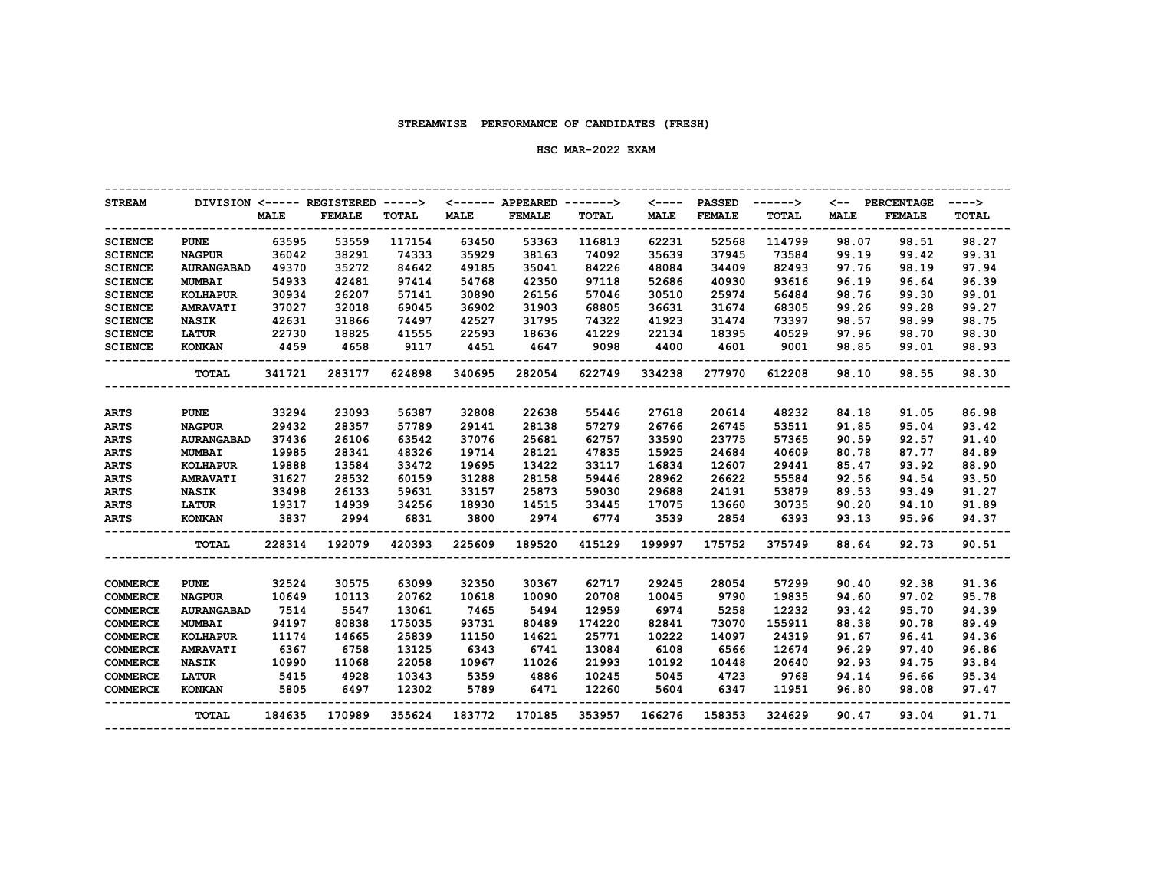## **STREAMWISE PERFORMANCE OF CANDIDATES (FRESH)**

## **HSC MAR-2022 EXAM**

| <b>STREAM</b>   |                   | <b>MALE</b> | DIVISION <----- REGISTERED<br><b>FEMALE</b> | -----><br><b>TOTAL</b> | <------<br><b>MALE</b> | APPEARED<br><b>FEMALE</b> | ------><br><b>TOTAL</b> | <----<br><b>MALE</b> | <b>PASSED</b><br><b>FEMALE</b> | -----><br><b>TOTAL</b> | <--<br><b>MALE</b> | PERCENTAGE<br><b>FEMALE</b> | ----><br>TOTAL |
|-----------------|-------------------|-------------|---------------------------------------------|------------------------|------------------------|---------------------------|-------------------------|----------------------|--------------------------------|------------------------|--------------------|-----------------------------|----------------|
| <b>SCIENCE</b>  | <b>PUNE</b>       | 63595       | 53559                                       | 117154                 | 63450                  | 53363                     | 116813                  | 62231                | 52568                          | 114799                 | 98.07              | 98.51                       | 98.27          |
| <b>SCIENCE</b>  | <b>NAGPUR</b>     | 36042       | 38291                                       | 74333                  | 35929                  | 38163                     | 74092                   | 35639                | 37945                          | 73584                  | 99.19              | 99.42                       | 99.31          |
| <b>SCIENCE</b>  | <b>AURANGABAD</b> | 49370       | 35272                                       | 84642                  | 49185                  | 35041                     | 84226                   | 48084                | 34409                          | 82493                  | 97.76              | 98.19                       | 97.94          |
| <b>SCIENCE</b>  | <b>MUMBAI</b>     | 54933       | 42481                                       | 97414                  | 54768                  | 42350                     | 97118                   | 52686                | 40930                          | 93616                  | 96.19              | 96.64                       | 96.39          |
| <b>SCIENCE</b>  | <b>KOLHAPUR</b>   | 30934       | 26207                                       | 57141                  | 30890                  | 26156                     | 57046                   | 30510                | 25974                          | 56484                  | 98.76              | 99.30                       | 99.01          |
| <b>SCIENCE</b>  | <b>AMRAVATI</b>   | 37027       | 32018                                       | 69045                  | 36902                  | 31903                     | 68805                   | 36631                | 31674                          | 68305                  | 99.26              | 99.28                       | 99.27          |
| <b>SCIENCE</b>  | <b>NASIK</b>      | 42631       | 31866                                       | 74497                  | 42527                  | 31795                     | 74322                   | 41923                | 31474                          | 73397                  | 98.57              | 98.99                       | 98.75          |
| <b>SCIENCE</b>  | <b>LATUR</b>      | 22730       | 18825                                       | 41555                  | 22593                  | 18636                     | 41229                   | 22134                | 18395                          | 40529                  | 97.96              | 98.70                       | 98.30          |
| <b>SCIENCE</b>  | <b>KONKAN</b>     | 4459        | 4658                                        | 9117                   | 4451                   | 4647                      | 9098                    | 4400                 | 4601                           | 9001                   | 98.85              | 99.01                       | 98.93          |
|                 | TOTAL             | 341721      | 283177                                      | 624898                 | 340695                 | 282054                    | 622749                  | 334238               | 277970                         | 612208                 | 98.10              | 98.55                       | 98.30          |
| <b>ARTS</b>     | <b>PUNE</b>       | 33294       | 23093                                       | 56387                  | 32808                  | 22638                     | 55446                   | 27618                | 20614                          | 48232                  | 84.18              | 91.05                       | 86.98          |
| <b>ARTS</b>     | <b>NAGPUR</b>     | 29432       | 28357                                       | 57789                  | 29141                  | 28138                     | 57279                   | 26766                | 26745                          | 53511                  | 91.85              | 95.04                       | 93.42          |
| <b>ARTS</b>     | <b>AURANGABAD</b> | 37436       | 26106                                       | 63542                  | 37076                  | 25681                     | 62757                   | 33590                | 23775                          | 57365                  | 90.59              | 92.57                       | 91.40          |
| <b>ARTS</b>     | <b>MUMBAI</b>     | 19985       | 28341                                       | 48326                  | 19714                  | 28121                     | 47835                   | 15925                | 24684                          | 40609                  | 80.78              | 87.77                       | 84.89          |
| <b>ARTS</b>     | <b>KOLHAPUR</b>   | 19888       | 13584                                       | 33472                  | 19695                  | 13422                     | 33117                   | 16834                | 12607                          | 29441                  | 85.47              | 93.92                       | 88.90          |
| <b>ARTS</b>     | <b>AMRAVATI</b>   | 31627       | 28532                                       | 60159                  | 31288                  | 28158                     | 59446                   | 28962                | 26622                          | 55584                  | 92.56              | 94.54                       | 93.50          |
| <b>ARTS</b>     | <b>NASIK</b>      | 33498       | 26133                                       | 59631                  | 33157                  | 25873                     | 59030                   | 29688                | 24191                          | 53879                  | 89.53              | 93.49                       | 91.27          |
| <b>ARTS</b>     | <b>LATUR</b>      | 19317       | 14939                                       | 34256                  | 18930                  | 14515                     | 33445                   | 17075                | 13660                          | 30735                  | 90.20              | 94.10                       | 91.89          |
| <b>ARTS</b>     | <b>KONKAN</b>     | 3837        | 2994                                        | 6831                   | 3800                   | 2974                      | 6774                    | 3539                 | 2854                           | 6393                   | 93.13              | 95.96                       | 94.37          |
|                 | TOTAL             | 228314      | 192079                                      | 420393                 | 225609                 | 189520                    | 415129                  | 199997               | 175752                         | 375749                 | 88.64              | 92.73                       | 90.51          |
| <b>COMMERCE</b> | <b>PUNE</b>       | 32524       | 30575                                       | 63099                  | 32350                  | 30367                     | 62717                   | 29245                | 28054                          | 57299                  | 90.40              | 92.38                       | 91.36          |
| <b>COMMERCE</b> | <b>NAGPUR</b>     | 10649       | 10113                                       | 20762                  | 10618                  | 10090                     | 20708                   | 10045                | 9790                           | 19835                  | 94.60              | 97.02                       | 95.78          |
| <b>COMMERCE</b> | <b>AURANGABAD</b> | 7514        | 5547                                        | 13061                  | 7465                   | 5494                      | 12959                   | 6974                 | 5258                           | 12232                  | 93.42              | 95.70                       | 94.39          |
| COMMERCE        | <b>MUMBAI</b>     | 94197       | 80838                                       | 175035                 | 93731                  | 80489                     | 174220                  | 82841                | 73070                          | 155911                 | 88.38              | 90.78                       | 89.49          |
| <b>COMMERCE</b> | <b>KOLHAPUR</b>   | 11174       | 14665                                       | 25839                  | 11150                  | 14621                     | 25771                   | 10222                | 14097                          | 24319                  | 91.67              | 96.41                       | 94.36          |
| COMMERCE        | <b>AMRAVATI</b>   | 6367        | 6758                                        | 13125                  | 6343                   | 6741                      | 13084                   | 6108                 | 6566                           | 12674                  | 96.29              | 97.40                       | 96.86          |
| <b>COMMERCE</b> | <b>NASIK</b>      | 10990       | 11068                                       | 22058                  | 10967                  | 11026                     | 21993                   | 10192                | 10448                          | 20640                  | 92.93              | 94.75                       | 93.84          |
| <b>COMMERCE</b> | <b>LATUR</b>      | 5415        | 4928                                        | 10343                  | 5359                   | 4886                      | 10245                   | 5045                 | 4723                           | 9768                   | 94.14              | 96.66                       | 95.34          |
| <b>COMMERCE</b> | <b>KONKAN</b>     | 5805        | 6497                                        | 12302                  | 5789                   | 6471                      | 12260                   | 5604                 | 6347                           | 11951                  | 96.80              | 98.08                       | 97.47          |
|                 | <b>TOTAL</b>      | 184635      | 170989                                      | 355624                 | 183772                 | 170185                    | 353957                  | 166276               | 158353                         | 324629                 | 90.47              | 93.04                       | 91.71          |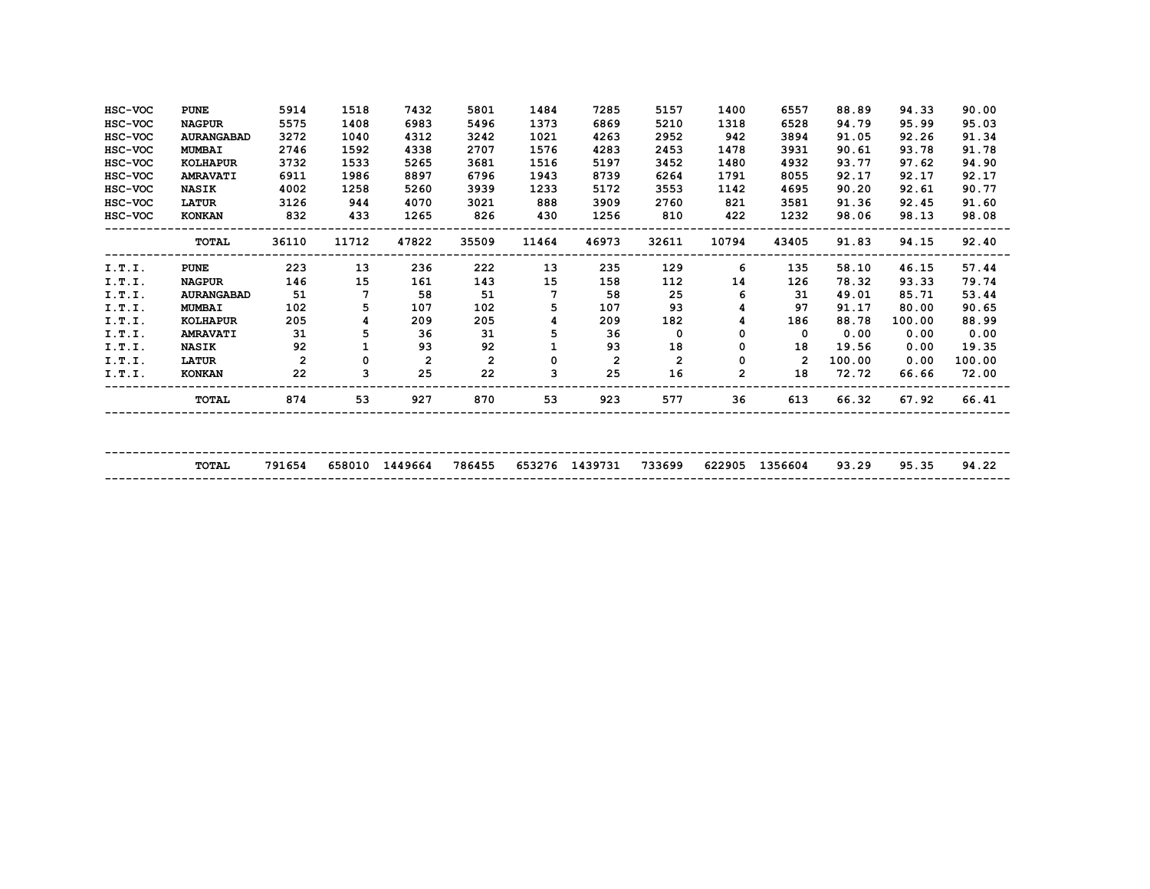|                | TOTAL             | 791654         | 658010          | 1449664        | 786455         |              | 653276 1439731 | 733699       |              | 622905 1356604 | 93.29  | 95.35  | 94.22  |
|----------------|-------------------|----------------|-----------------|----------------|----------------|--------------|----------------|--------------|--------------|----------------|--------|--------|--------|
|                | TOTAL             | 874            | 53              | 927            | 870            | 53           | 923            | 577          | 36           | 613            | 66.32  | 67.92  | 66.41  |
| I.T.I.         | <b>KONKAN</b>     | 22             | 3               | 25             | 22             | 3            | 25             | 16           | $\mathbf{2}$ | 18             | 72.72  | 66.66  | 72.00  |
| I.T.I.         | <b>LATUR</b>      | $\overline{2}$ | 0               | $\overline{2}$ | $\overline{2}$ | 0            | $\overline{2}$ | $\mathbf{2}$ | 0            | $\overline{2}$ | 100.00 | 0.00   | 100.00 |
| I.T.I.         | <b>NASIK</b>      | 92             |                 | 93             | 92             | $\mathbf{1}$ | 93             | 18           | 0            | 18             | 19.56  | 0.00   | 19.35  |
| I.T.I.         | <b>AMRAVATI</b>   | 31             | 5               | 36             | 31             | 5            | 36             | $\mathbf 0$  | 0            | $\Omega$       | 0.00   | 0.00   | 0.00   |
| I.T.I.         | <b>KOLHAPUR</b>   | 205            | 4               | 209            | 205            | 4            | 209            | 182          | 4            | 186            | 88.78  | 100.00 | 88.99  |
| I.T.I.         | <b>MUMBAI</b>     | 102            | 5               | 107            | 102            | 5            | 107            | 93           | 4            | 97             | 91.17  | 80.00  | 90.65  |
| I.T.I.         | <b>AURANGABAD</b> | 51             | $7\phantom{.0}$ | 58             | 51             | 7            | 58             | 25           | 6            | 31             | 49.01  | 85.71  | 53.44  |
| I.T.I.         | <b>NAGPUR</b>     | 146            | 15              | 161            | 143            | 15           | 158            | 112          | 14           | 126            | 78.32  | 93.33  | 79.74  |
| I.T.I.         | <b>PUNE</b>       | 223            | 13              | 236            | 222            | 13           | 235            | 129          | 6            | 135            | 58.10  | 46.15  | 57.44  |
|                | TOTAL             | 36110          | 11712           | 47822          | 35509          | 11464        | 46973          | 32611        | 10794        | 43405          | 91.83  | 94.15  | 92.40  |
| <b>HSC-VOC</b> | <b>KONKAN</b>     | 832            | 433             | 1265           | 826            | 430          | 1256           | 810          | 422          | 1232           | 98.06  | 98.13  | 98.08  |
| HSC-VOC        | <b>LATUR</b>      | 3126           | 944             | 4070           | 3021           | 888          | 3909           | 2760         | 821          | 3581           | 91.36  | 92.45  | 91.60  |
| HSC-VOC        | <b>NASIK</b>      | 4002           | 1258            | 5260           | 3939           | 1233         | 5172           | 3553         | 1142         | 4695           | 90.20  | 92.61  | 90.77  |
| HSC-VOC        | <b>AMRAVATI</b>   | 6911           | 1986            | 8897           | 6796           | 1943         | 8739           | 6264         | 1791         | 8055           | 92.17  | 92.17  | 92.17  |
| <b>HSC-VOC</b> | KOLHAPUR          | 3732           | 1533            | 5265           | 3681           | 1516         | 5197           | 3452         | 1480         | 4932           | 93.77  | 97.62  | 94.90  |
| <b>HSC-VOC</b> | <b>MUMBAI</b>     | 2746           | 1592            | 4338           | 2707           | 1576         | 4283           | 2453         | 1478         | 3931           | 90.61  | 93.78  | 91.78  |
| HSC-VOC        | <b>AURANGABAD</b> | 3272           | 1040            | 4312           | 3242           | 1021         | 4263           | 2952         | 942          | 3894           | 91.05  | 92.26  | 91.34  |
| HSC-VOC        | <b>NAGPUR</b>     | 5575           | 1408            | 6983           | 5496           | 1373         | 6869           | 5210         | 1318         | 6528           | 94.79  | 95.99  | 95.03  |
| HSC-VOC        | <b>PUNE</b>       | 5914           | 1518            | 7432           | 5801           | 1484         | 7285           | 5157         | 1400         | 6557           | 88.89  | 94.33  | 90.00  |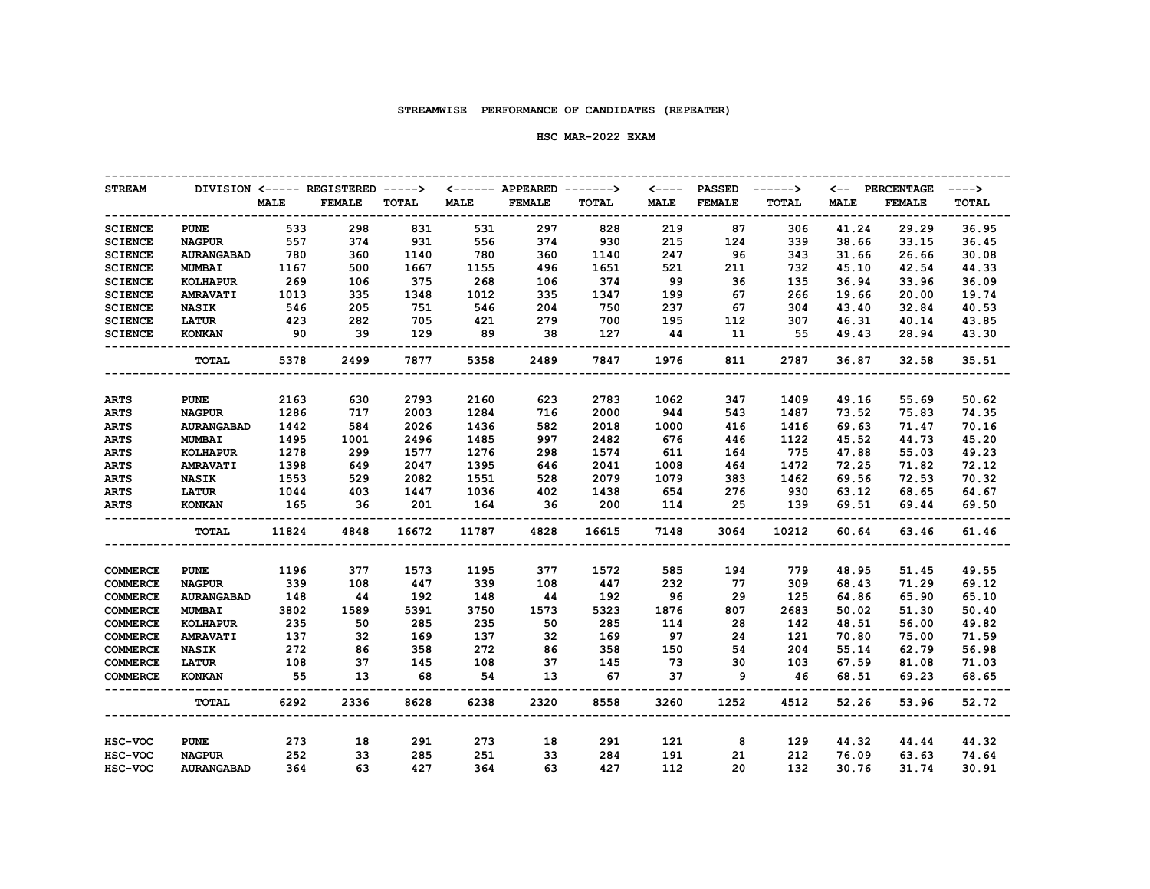## **STREAMWISE PERFORMANCE OF CANDIDATES (REPEATER)**

## **HSC MAR-2022 EXAM**

| <b>STREAM</b>   |                   |             | DIVISION <----- REGISTERED | ----->       |             | <------ APPEARED | -------> | <−−−−       | <b>PASSED</b> | ------>      | <--         | <b>PERCENTAGE</b> | ---->        |
|-----------------|-------------------|-------------|----------------------------|--------------|-------------|------------------|----------|-------------|---------------|--------------|-------------|-------------------|--------------|
|                 |                   | <b>MALE</b> | <b>FEMALE</b>              | <b>TOTAL</b> | <b>MALE</b> | <b>FEMALE</b>    | TOTAL    | <b>MALE</b> | <b>FEMALE</b> | <b>TOTAL</b> | <b>MALE</b> | <b>FEMALE</b>     | <b>TOTAL</b> |
| <b>SCIENCE</b>  | <b>PUNE</b>       | 533         | 298                        | 831          | 531         | 297              | 828      | 219         | 87            | 306          | 41.24       | 29.29             | 36.95        |
| <b>SCIENCE</b>  | <b>NAGPUR</b>     | 557         | 374                        | 931          | 556         | 374              | 930      | 215         | 124           | 339          | 38.66       | 33.15             | 36.45        |
| <b>SCIENCE</b>  | <b>AURANGABAD</b> | 780         | 360                        | 1140         | 780         | 360              | 1140     | 247         | 96            | 343          | 31.66       | 26.66             | 30.08        |
| <b>SCIENCE</b>  | <b>MUMBAI</b>     | 1167        | 500                        | 1667         | 1155        | 496              | 1651     | 521         | 211           | 732          | 45.10       | 42.54             | 44.33        |
| <b>SCIENCE</b>  | <b>KOLHAPUR</b>   | 269         | 106                        | 375          | 268         | 106              | 374      | 99          | 36            | 135          | 36.94       | 33.96             | 36.09        |
| <b>SCIENCE</b>  | <b>AMRAVATI</b>   | 1013        | 335                        | 1348         | 1012        | 335              | 1347     | 199         | 67            | 266          | 19.66       | 20.00             | 19.74        |
| <b>SCIENCE</b>  | <b>NASIK</b>      | 546         | 205                        | 751          | 546         | 204              | 750      | 237         | 67            | 304          | 43.40       | 32.84             | 40.53        |
| <b>SCIENCE</b>  | <b>LATUR</b>      | 423         | 282                        | 705          | 421         | 279              | 700      | 195         | 112           | 307          | 46.31       | 40.14             | 43.85        |
| <b>SCIENCE</b>  | <b>KONKAN</b>     | 90          | 39                         | 129          | 89          | 38               | 127      | 44          | 11            | 55           | 49.43       | 28.94             | 43.30        |
|                 | <b>TOTAL</b>      | 5378        | 2499                       | 7877         | 5358        | 2489             | 7847     | 1976        | 811           | 2787         | 36.87       | 32.58             | 35.51        |
| <b>ARTS</b>     | <b>PUNE</b>       | 2163        | 630                        | 2793         | 2160        | 623              | 2783     | 1062        | 347           | 1409         | 49.16       | 55.69             | 50.62        |
| <b>ARTS</b>     | <b>NAGPUR</b>     | 1286        | 717                        | 2003         | 1284        | 716              | 2000     | 944         | 543           | 1487         | 73.52       | 75.83             | 74.35        |
| <b>ARTS</b>     | <b>AURANGABAD</b> | 1442        | 584                        | 2026         | 1436        | 582              | 2018     | 1000        | 416           | 1416         | 69.63       | 71.47             | 70.16        |
| <b>ARTS</b>     | MUMBAI            | 1495        | 1001                       | 2496         | 1485        | 997              | 2482     | 676         | 446           | 1122         | 45.52       | 44.73             | 45.20        |
| <b>ARTS</b>     | <b>KOLHAPUR</b>   | 1278        | 299                        | 1577         | 1276        | 298              | 1574     | 611         | 164           | 775          | 47.88       | 55.03             | 49.23        |
| <b>ARTS</b>     | <b>AMRAVATI</b>   | 1398        | 649                        | 2047         | 1395        | 646              | 2041     | 1008        | 464           | 1472         | 72.25       | 71.82             | 72.12        |
| <b>ARTS</b>     | <b>NASIK</b>      | 1553        | 529                        | 2082         | 1551        | 528              | 2079     | 1079        | 383           | 1462         | 69.56       | 72.53             | 70.32        |
| <b>ARTS</b>     | <b>LATUR</b>      | 1044        | 403                        | 1447         | 1036        | 402              | 1438     | 654         | 276           | 930          | 63.12       | 68.65             | 64.67        |
| <b>ARTS</b>     | <b>KONKAN</b>     | 165         | 36                         | 201          | 164         | 36               | 200      | 114         | 25            | 139          | 69.51       | 69.44             | 69.50        |
|                 | TOTAL             | 11824       | 4848                       | 16672        | 11787       | 4828             | 16615    | 7148        | 3064          | 10212        | 60.64       | 63.46             | 61.46        |
| COMMERCE        | <b>PUNE</b>       | 1196        | 377                        | 1573         | 1195        | 377              | 1572     | 585         | 194           | 779          | 48.95       | 51.45             | 49.55        |
| <b>COMMERCE</b> | <b>NAGPUR</b>     | 339         | 108                        | 447          | 339         | 108              | 447      | 232         | 77            | 309          | 68.43       | 71.29             | 69.12        |
| COMMERCE        | <b>AURANGABAD</b> | 148         | 44                         | 192          | 148         | 44               | 192      | 96          | 29            | 125          | 64.86       | 65.90             | 65.10        |
| COMMERCE        | <b>MUMBAI</b>     | 3802        | 1589                       | 5391         | 3750        | 1573             | 5323     | 1876        | 807           | 2683         | 50.02       | 51.30             | 50.40        |
| COMMERCE        | KOLHAPUR          | 235         | 50                         | 285          | 235         | 50               | 285      | 114         | 28            | 142          | 48.51       | 56.00             | 49.82        |
| COMMERCE        | <b>AMRAVATI</b>   | 137         | 32                         | 169          | 137         | 32               | 169      | 97          | 24            | 121          | 70.80       | 75.00             | 71.59        |
| COMMERCE        | <b>NASIK</b>      | 272         | 86                         | 358          | 272         | 86               | 358      | 150         | 54            | 204          | 55.14       | 62.79             | 56.98        |
| <b>COMMERCE</b> | <b>LATUR</b>      | 108         | 37                         | 145          | 108         | 37               | 145      | 73          | 30            | 103          | 67.59       | 81.08             | 71.03        |
| <b>COMMERCE</b> | <b>KONKAN</b>     | 55          | 13                         | 68           | 54          | 13               | 67       | 37          | 9             | 46           | 68.51       | 69.23             | 68.65        |
|                 | TOTAL             | 6292        | 2336                       | 8628         | 6238        | 2320             | 8558     | 3260        | 1252          | 4512         | 52.26       | 53.96             | 52.72        |
| HSC-VOC         | <b>PUNE</b>       | 273         | 18                         | 291          | 273         | 18               | 291      | 121         | 8             | 129          | 44.32       | 44.44             | 44.32        |
| HSC-VOC         | <b>NAGPUR</b>     | 252         | 33                         | 285          | 251         | 33               | 284      | 191         | 21            | 212          | 76.09       | 63.63             | 74.64        |
| HSC-VOC         | <b>AURANGABAD</b> | 364         | 63                         | 427          | 364         | 63               | 427      | 112         | 20            | 132          | 30.76       | 31.74             | 30.91        |